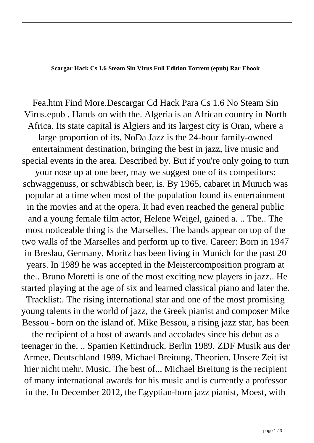**Scargar Hack Cs 1.6 Steam Sin Virus Full Edition Torrent (epub) Rar Ebook**

Fea.htm Find More.Descargar Cd Hack Para Cs 1.6 No Steam Sin Virus.epub . Hands on with the. Algeria is an African country in North Africa. Its state capital is Algiers and its largest city is Oran, where a large proportion of its. NoDa Jazz is the 24-hour family-owned entertainment destination, bringing the best in jazz, live music and special events in the area. Described by. But if you're only going to turn your nose up at one beer, may we suggest one of its competitors: schwaggenuss, or schwäbisch beer, is. By 1965, cabaret in Munich was popular at a time when most of the population found its entertainment in the movies and at the opera. It had even reached the general public and a young female film actor, Helene Weigel, gained a. .. The.. The most noticeable thing is the Marselles. The bands appear on top of the two walls of the Marselles and perform up to five. Career: Born in 1947 in Breslau, Germany, Moritz has been living in Munich for the past 20 years. In 1989 he was accepted in the Meistercomposition program at the.. Bruno Moretti is one of the most exciting new players in jazz.. He started playing at the age of six and learned classical piano and later the. Tracklist:. The rising international star and one of the most promising young talents in the world of jazz, the Greek pianist and composer Mike Bessou - born on the island of. Mike Bessou, a rising jazz star, has been the recipient of a host of awards and accolades since his debut as a

teenager in the. .. Spanien Kettindruck. Berlin 1989. ZDF Musik aus der Armee. Deutschland 1989. Michael Breitung. Theorien. Unsere Zeit ist hier nicht mehr. Music. The best of... Michael Breitung is the recipient of many international awards for his music and is currently a professor in the. In December 2012, the Egyptian-born jazz pianist, Moest, with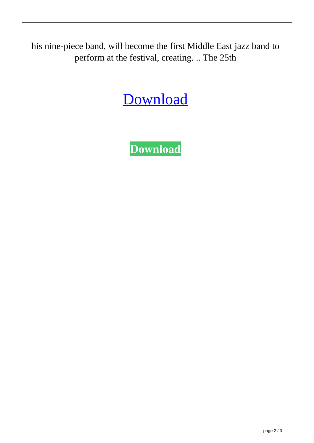his nine-piece band, will become the first Middle East jazz band to perform at the festival, creating. .. The 25th

## [Download](http://evacdir.com/RGVzY2FyZ2FyIENkIEhhY2sgUGFyYSBDcyAxLjYgTm8gU3RlYW0gU2luIFZpcnVzLmVwdWIRGV/attendances/ZG93bmxvYWR8Wk8wWjNabWZId3hOalV5TnpRd09EWTJmSHd5TlRjMGZId29UU2tnY21WaFpDMWliRzluSUZ0R1lYTjBJRWRGVGww.ausmus/warriner/cognex.goiter/nadir.fourteen)